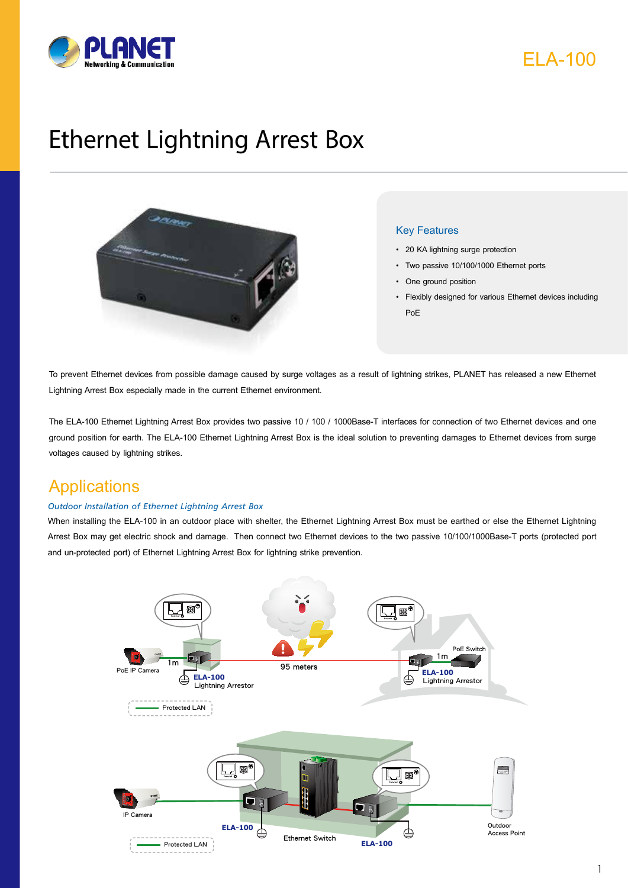



# Ethernet Lightning Arrest Box



#### Key Features

- • 20 KA lightning surge protection
- • Two passive 10/100/1000 Ethernet ports
- One ground position
- • Flexibly designed for various Ethernet devices including PoE

To prevent Ethernet devices from possible damage caused by surge voltages as a result of lightning strikes, PLANET has released a new Ethernet Lightning Arrest Box especially made in the current Ethernet environment.

The ELA-100 Ethernet Lightning Arrest Box provides two passive 10 / 100 / 1000Base-T interfaces for connection of two Ethernet devices and one ground position for earth. The ELA-100 Ethernet Lightning Arrest Box is the ideal solution to preventing damages to Ethernet devices from surge voltages caused by lightning strikes.

### **Applications**

#### *Outdoor Installation of Ethernet Lightning Arrest Box*

When installing the ELA-100 in an outdoor place with shelter, the Ethernet Lightning Arrest Box must be earthed or else the Ethernet Lightning Arrest Box may get electric shock and damage. Then connect two Ethernet devices to the two passive 10/100/1000Base-T ports (protected port and un-protected port) of Ethernet Lightning Arrest Box for lightning strike prevention.